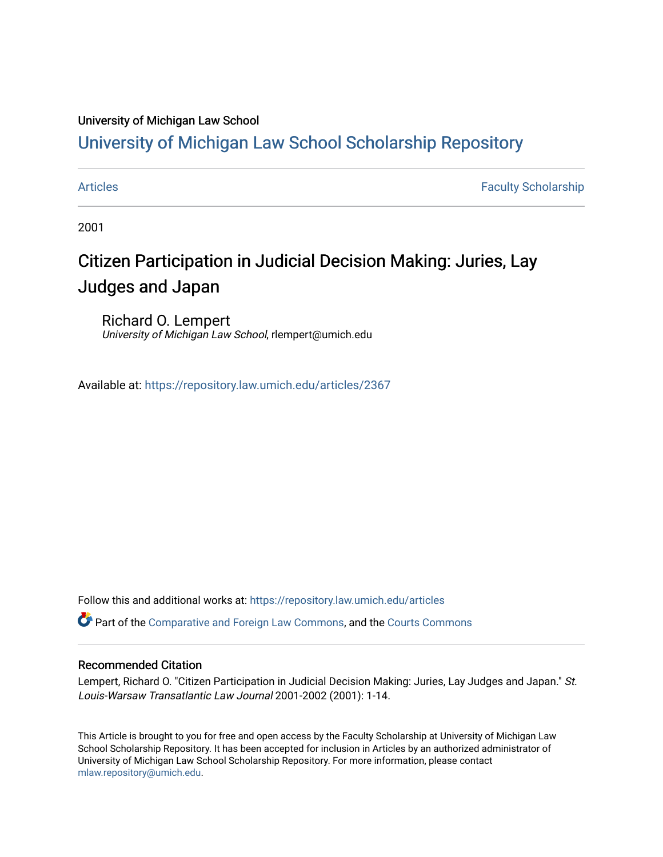## University of Michigan Law School

## [University of Michigan Law School Scholarship Repository](https://repository.law.umich.edu/)

[Articles](https://repository.law.umich.edu/articles) **Faculty Scholarship** Faculty Scholarship

2001

# Citizen Participation in Judicial Decision Making: Juries, Lay Judges and Japan

Richard O. Lempert University of Michigan Law School, rlempert@umich.edu

Available at: <https://repository.law.umich.edu/articles/2367>

Follow this and additional works at: [https://repository.law.umich.edu/articles](https://repository.law.umich.edu/articles?utm_source=repository.law.umich.edu%2Farticles%2F2367&utm_medium=PDF&utm_campaign=PDFCoverPages) 

Part of the [Comparative and Foreign Law Commons,](http://network.bepress.com/hgg/discipline/836?utm_source=repository.law.umich.edu%2Farticles%2F2367&utm_medium=PDF&utm_campaign=PDFCoverPages) and the [Courts Commons](http://network.bepress.com/hgg/discipline/839?utm_source=repository.law.umich.edu%2Farticles%2F2367&utm_medium=PDF&utm_campaign=PDFCoverPages)

## Recommended Citation

Lempert, Richard O. "Citizen Participation in Judicial Decision Making: Juries, Lay Judges and Japan." St. Louis-Warsaw Transatlantic Law Journal 2001-2002 (2001): 1-14.

This Article is brought to you for free and open access by the Faculty Scholarship at University of Michigan Law School Scholarship Repository. It has been accepted for inclusion in Articles by an authorized administrator of University of Michigan Law School Scholarship Repository. For more information, please contact [mlaw.repository@umich.edu.](mailto:mlaw.repository@umich.edu)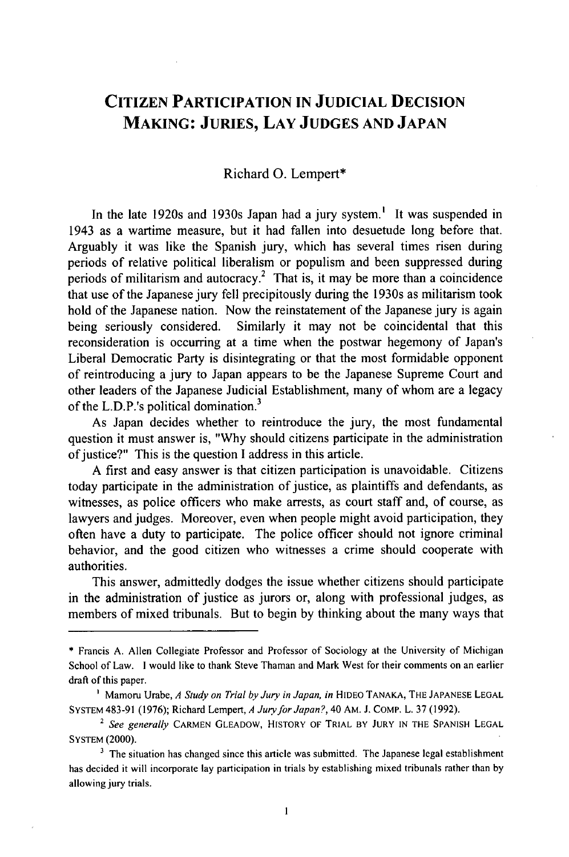## **CITIZEN PARTICIPATION IN JUDICIAL DECISION MAKING: JURIES, LAY JUDGES AND JAPAN**

## Richard **0.** Lempert\*

In the late 1920s and 1930s Japan had a jury system.' It was suspended in 1943 as a wartime measure, but it had fallen into desuetude long before that. Arguably it was like the Spanish jury, which has several times risen during periods of relative political liberalism or populism and been suppressed during periods of militarism and autocracy.<sup>2</sup> That is, it may be more than a coincidence that use of the Japanese jury fell precipitously during the 1930s as militarism took hold of the Japanese nation. Now the reinstatement of the Japanese jury is again being seriously considered. Similarly it may not be coincidental that this reconsideration is occurring at a time when the postwar hegemony of Japan's Liberal Democratic Party is disintegrating or that the most formidable opponent of reintroducing a jury to Japan appears to be the Japanese Supreme Court and other leaders of the Japanese Judicial Establishment, many of whom are a legacy of the L.D.P.'s political domination. $3$ 

As Japan decides whether to reintroduce the jury, the most fundamental question it must answer is, "Why should citizens participate in the administration of justice?" This is the question I address in this article.

**A** first and easy answer is that citizen participation is unavoidable. Citizens today participate in the administration of justice, as plaintiffs and defendants, as witnesses, as police officers who make arrests, as court staff and, of course, as lawyers and judges. Moreover, even when people might avoid participation, they often have a duty to participate. The police officer should not ignore criminal behavior, and the good citizen who witnesses a crime should cooperate with authorities.

This answer, admittedly dodges the issue whether citizens should participate in the administration of justice as jurors or, along with professional judges, as members of mixed tribunals. But to begin by thinking about the many ways that

<sup>\*</sup> Francis A. Allen Collegiate Professor and Professor of Sociology at the University of Michigan School of Law. **I** would like to thank Steve Thaman and Mark West for their comments on an earlier draft of this paper.

<sup>&</sup>lt;sup>1</sup> Mamoru Urabe, A Study on Trial by Jury in Japan, in HIDEO TANAKA, THE JAPANESE LEGAL SYSTEM 483-91 (1976); Richard Lempert, A Jury *for Japan?,* 40 AM. J. COMP. L. 37 (1992).

<sup>&</sup>lt;sup>2</sup> See generally CARMEN GLEADOW, HISTORY OF TRIAL BY JURY IN THE SPANISH LEGAL SYSTEM (2000).

<sup>&</sup>lt;sup>3</sup> The situation has changed since this article was submitted. The Japanese legal establishment has decided it will incorporate lay participation in trials by establishing mixed tribunals rather than by allowing jury trials.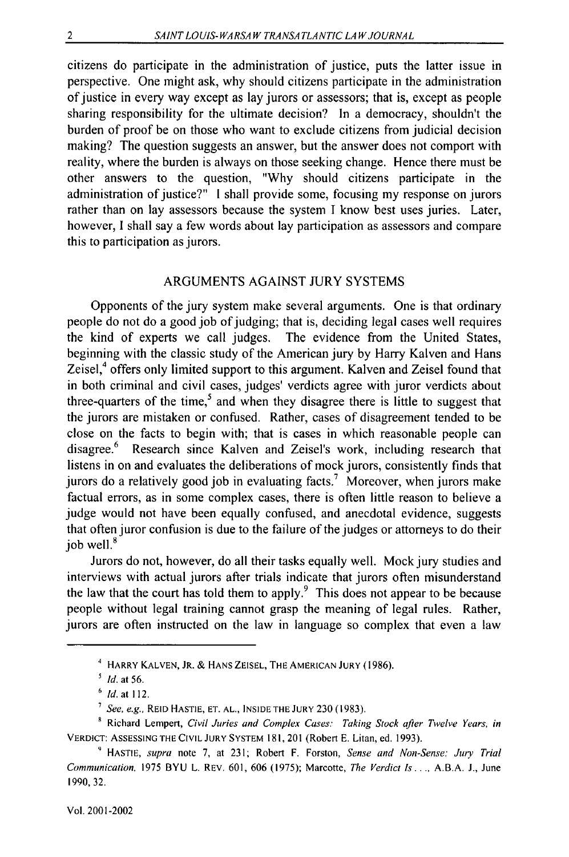citizens do participate in the administration of justice, puts the latter issue in perspective. One might ask, why should citizens participate in the administration of justice in every way except as lay jurors or assessors; that is, except as people sharing responsibility for the ultimate decision? In a democracy, shouldn't the burden of proof be on those who want to exclude citizens from judicial decision making? The question suggests an answer, but the answer does not comport with reality, where the burden is always on those seeking change. Hence there must be other answers to the question, "Why should citizens participate in the administration of justice?" I shall provide some, focusing my response on jurors rather than on lay assessors because the system I know best uses juries. Later, however, I shall say a few words about lay participation as assessors and compare this to participation as jurors.

## ARGUMENTS AGAINST JURY SYSTEMS

Opponents of the jury system make several arguments. One is that ordinary people do not do a good job of judging; that is, deciding legal cases well requires the kind of experts we call judges. The evidence from the United States, beginning with the classic study of the American jury by Harry Kalven and Hans Zeisel,<sup>4</sup> offers only limited support to this argument. Kalven and Zeisel found that in both criminal and civil cases, judges' verdicts agree with juror verdicts about three-quarters of the time,<sup>5</sup> and when they disagree there is little to suggest that the jurors are mistaken or confused. Rather, cases of disagreement tended to be close on the facts to begin with; that is cases in which reasonable people can disagree.<sup>6</sup> Research since Kalven and Zeisel's work, including research that listens in on and evaluates the deliberations of mock jurors, consistently finds that jurors do a relatively good job in evaluating facts.<sup>7</sup> Moreover, when jurors make factual errors, as in some complex cases, there is often little reason to believe a judge would not have been equally confused, and anecdotal evidence, suggests that often juror confusion is due to the failure of the judges or attorneys to do their job well.<sup>8</sup>

Jurors do not, however, do all their tasks equally well. Mock jury studies and interviews with actual jurors after trials indicate that jurors often misunderstand the law that the court has told them to apply. $9$  This does not appear to be because people without legal training cannot grasp the meaning of legal rules. Rather, jurors are often instructed on the law in language so complex that even a law

<sup>&</sup>lt;sup>4</sup> HARRY KALVEN, JR. & HANS ZEISEL, THE AMERICAN JURY (1986).

<sup>&</sup>lt;sup>5</sup> *Id.* at 56.

**<sup>6</sup> Id.** at 112.

**<sup>7</sup>***See, e.g.,* REID HASTIE, ET. AL., INSIDE THE JURY 230 (1983).

**<sup>8</sup>** Richard Lempert, *Civil Juries and Complex Cases: Taking Stock after Twelve Years, in* VERDICT: ASSESSING THE CIVIL JURY SYSTEM 181, 201 (Robert E. Litan, ed. 1993).

HASTIE, *supra* note 7, at 231; Robert F. Forston, *Sense and Non-Sense: Jury Trial Communication,* 1975 BYU L. REV. 601, 606 (1975); Marcotte, *The Verdict Is .. ,* A.B.A. J., June 1990, 32.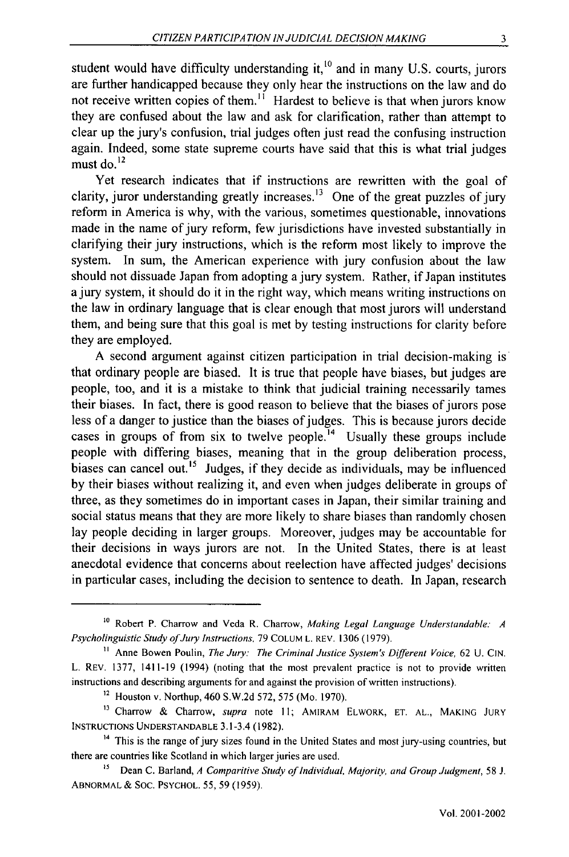student would have difficulty understanding it, $^{10}$  and in many U.S. courts, jurors are further handicapped because they only hear the instructions on the law and do not receive written copies of them.<sup>11</sup> Hardest to believe is that when jurors know they are confused about the law and ask for clarification, rather than attempt to clear up the jury's confusion, trial judges often just read the confusing instruction again. Indeed, some state supreme courts have said that this is what trial judges must do. $^{12}$ 

Yet research indicates that if instructions are rewritten with the goal of clarity, juror understanding greatly increases.<sup>13</sup> One of the great puzzles of jury reform in America is why, with the various, sometimes questionable, innovations made in the name of jury reform, few jurisdictions have invested substantially in clarifying their jury instructions, which is the reform most likely to improve the system. In sum, the American experience with jury confusion about the law should not dissuade Japan from adopting a jury system. Rather, if Japan institutes a jury system, it should do it in the right way, which means writing instructions on the law in ordinary language that is clear enough that most jurors will understand them, and being sure that this goal is met by testing instructions for clarity before they are employed.

A second argument against citizen participation in trial decision-making is that ordinary people are biased. It is true that people have biases, but judges are people, too, and it is a mistake to think that judicial training necessarily tames their biases. In fact, there is good reason to believe that the biases of jurors pose less of a danger to justice than the biases of judges. This is because jurors decide cases in groups of from six to twelve people.<sup>14</sup> Usually these groups include people with differing biases, meaning that in the group deliberation process, biases can cancel out.<sup>15</sup> Judges, if they decide as individuals, may be influenced by their biases without realizing it, and even when judges deliberate in groups of three, as they sometimes do in important cases in Japan, their similar training and social status means that they are more likely to share biases than randomly chosen lay people deciding in larger groups. Moreover, judges may be accountable for their decisions in ways jurors are not. In the United States, there is at least anecdotal evidence that concerns about reelection have affected judges' decisions in particular cases, including the decision to sentence to death. In Japan, research

**<sup>&#</sup>x27;o** Robert P. Charrow and Veda R. Charrow, *Making Legal Language Understandable: A Psycholinguistic Study of Jury Instructions,* 79 COLUM L. REV. 1306 (1979).

<sup>&</sup>lt;sup>11</sup> Anne Bowen Poulin, *The Jury: The Criminal Justice System's Different Voice*, 62 U. CIN. L. REV. 1377, 1411-19 (1994) (noting that the most prevalent practice is not to provide written instructions and describing arguments for and against the provision of written instructions).

<sup>12</sup> Houston v. Northup, 460 S.W.2d 572, 575 (Mo. 1970).

**<sup>13</sup>**Charrow & Charrow, *supra* note 11; AMIRAM ELWORK, ET. AL., MAKING JURY INSTRUCTIONS UNDERSTANDABLE 3.1-3.4 (1982).

<sup>&</sup>lt;sup>14</sup> This is the range of jury sizes found in the United States and most jury-using countries, but there are countries like Scotland in which larger juries are used.

<sup>&</sup>lt;sup>15</sup> Dean C. Barland, *A Comparitive Study of Individual, Majority, and Group Judgment, 58 J.* ABNORMAL & SOC. PSYCHOL. 55, 59 (1959).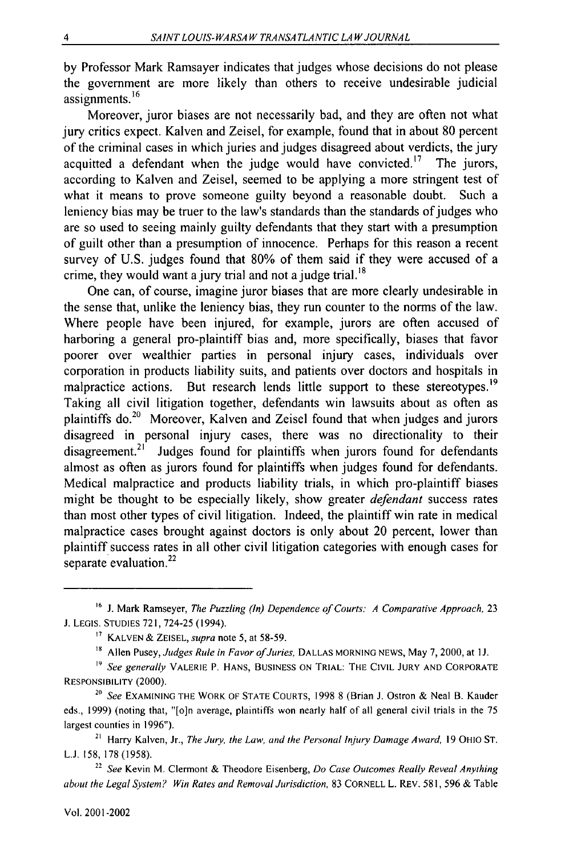by Professor Mark Ramsayer indicates that judges whose decisions do not please the government are more likely than others to receive undesirable judicial assignments. **<sup>16</sup>**

Moreover, juror biases are not necessarily bad, and they are often not what jury critics expect. Kalven and Zeisel, for example, found that in about 80 percent of the criminal cases in which juries and judges disagreed about verdicts, the jury acquitted a defendant when the judge would have convicted.<sup>17</sup> The jurors, according to Kalven and Zeisel, seemed to be applying a more stringent test of what it means to prove someone guilty beyond a reasonable doubt. Such a leniency bias may be truer to the law's standards than the standards of judges who are so used to seeing mainly guilty defendants that they start with a presumption of guilt other than a presumption of innocence. Perhaps for this reason a recent survey of U.S. judges found that 80% of them said if they were accused of a crime, they would want a jury trial and not a judge trial. $^{18}$ 

One can, of course, imagine juror biases that are more clearly undesirable in the sense that, unlike the leniency bias, they run counter to the norms of the law. Where people have been injured, for example, jurors are often accused of harboring a general pro-plaintiff bias and, more specifically, biases that favor poorer over wealthier parties in personal injury cases, individuals over corporation in products liability suits, and patients over doctors and hospitals in malpractice actions. But research lends little support to these stereotypes.<sup>19</sup> Taking all civil litigation together, defendants win lawsuits about as often as plaintiffs do.<sup>20</sup> Moreover, Kalven and Zeisel found that when judges and jurors disagreed in personal injury cases, there was no directionality to their disagreement.<sup>21</sup> Judges found for plaintiffs when jurors found for defendants almost as often as jurors found for plaintiffs when judges found for defendants. Medical malpractice and products liability trials, in which pro-plaintiff biases might be thought to be especially likely, show greater *defendant* success rates than most other types of civil litigation. Indeed, the plaintiff win rate in medical malpractice cases brought against doctors is only about 20 percent, lower than plaintiff success rates in all other civil litigation categories with enough cases for separate evaluation. $^{22}$ 

<sup>16</sup>**J.** Mark Ramseyer, The Puzzling (In) Dependence of Courts: A Comparative Approach, 23 **J.** LEGIS. STUDIES 721, 724-25 (1994).

**<sup>17</sup> KALVEN** & ZEISEL, supra note 5, at 58-59.

<sup>8</sup> Allen Pusey, Judges Rule *in* Favor of Juries, **DALLAS MORNING NEWS,** May 7, 2000, at **IJ.**

 $^{19}$  See generally VALERIE P. HANS, BUSINESS ON TRIAL: THE CIVIL JURY AND CORPORATE RESPONSIBILITY (2000).

 $20$  See EXAMINING THE WORK OF STATE COURTS, 1998 8 (Brian J. Ostron & Neal B. Kauder eds., 1999) (noting that, "[o]n average, plaintiffs won nearly half of all general civil trials in the 75 largest counties in 1996").

 $21$  Harry Kalven, Jr., The Jury, the Law, and the Personal Injury Damage Award, 19 OHIO ST. L.J. 158, 178 (1958).

 $22$  See Kevin M. Clermont & Theodore Eisenberg, Do Case Outcomes Really Reveal Anything about the Legal System? Win Rates and Removal Jurisdiction, 83 CORNELL L. REV. 581, 596 & Table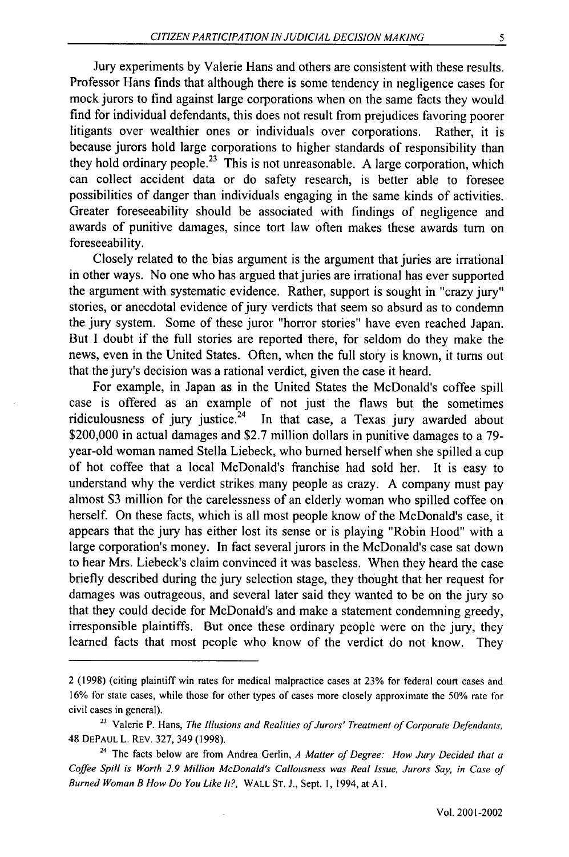Jury experiments by Valerie Hans and others are consistent with these results. Professor Hans finds that although there is some tendency in negligence cases for mock jurors to find against large corporations when on the same facts they would find for individual defendants, this does not result from prejudices favoring poorer litigants over wealthier ones or individuals over corporations. Rather, it is because jurors hold large corporations to higher standards of responsibility than they hold ordinary people.<sup>23</sup> This is not unreasonable. A large corporation, which can collect accident data or do safety research, is better able to foresee possibilities of danger than individuals engaging in the same kinds of activities. Greater foreseeability should be associated with findings of negligence and awards of punitive damages, since tort law often makes these awards turn on foreseeability.

Closely related to the bias argument is the argument that juries are irrational in other ways. No one who has argued that juries are irrational has ever supported the argument with systematic evidence. Rather, support is sought in "crazy jury" stories, or anecdotal evidence of jury verdicts that seem so absurd as to condemn the jury system. Some of these juror "horror stories" have even reached Japan. But I doubt if the full stories are reported there, for seldom do they make the news, even in the United States. Often, when the full story is known, it turns out that the jury's decision was a rational verdict, given the case it heard.

For example, in Japan as in the United States the McDonald's coffee spill case is offered as an example of not just the flaws but the sometimes ridiculousness of jury justice. $24$  In that case, a Texas jury awarded about \$200,000 in actual damages and \$2.7 million dollars in punitive damages to a 79year-old woman named Stella Liebeck, who burned herself when she spilled a cup of hot coffee that a local McDonald's franchise had sold her. It is easy to understand why the verdict strikes many people as crazy. A company must pay almost \$3 million for the carelessness of an elderly woman who spilled coffee on herself. On these facts, which is all most people know of the McDonald's case, it appears that the jury has either lost its sense or is playing "Robin Hood" with a large corporation's money. In fact several jurors in the McDonald's case sat down to hear Mrs. Liebeck's claim convinced it was baseless. When they heard the case briefly described during the jury selection stage, they thought that her request for damages was outrageous, and several later said they wanted to be on the jury so that they could decide for McDonald's and make a statement condemning greedy, irresponsible plaintiffs. But once these ordinary people were on the jury, they learned facts that most people who know of the verdict do not know. They

<sup>2 (1998) (</sup>citing plaintiff win rates for medical malpractice cases at 23% for federal court cases and 16% for state cases, while those for other types of cases more closely approximate the 50% rate for civil cases in general).

<sup>&</sup>lt;sup>23</sup> Valerie P. Hans, *The Illusions and Realities of Jurors' Treatment of Corporate Defendants,* 48 DEPAUL L. REV. 327, 349 (1998).

<sup>24</sup> The facts below are from Andrea Gerlin, *A Matter of Degree: How Jury Decided that a Coffee Spill is Worth 2.9 Million McDonald's Callousness was Real Issue, Jurors Say, in Case of Burned Woman B How Do You Like It?,* WALL ST. J., Sept. 1, 1994, at A l.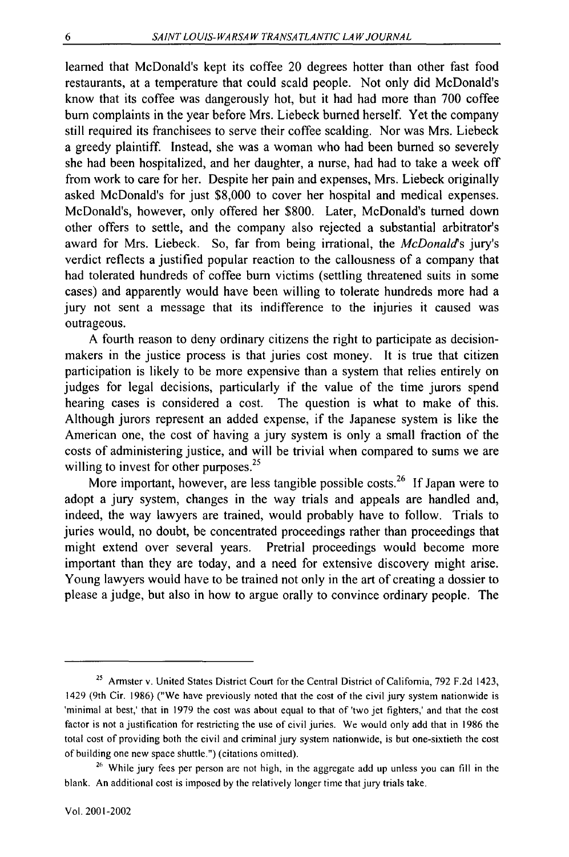learned that McDonald's kept its coffee 20 degrees hotter than other fast food restaurants, at a temperature that could scald people. Not only did McDonald's know that its coffee was dangerously hot, but it had had more than 700 coffee burn complaints in the year before Mrs. Liebeck burned herself. Yet the company still required its franchisees to serve their coffee scalding. Nor was Mrs. Liebeck a greedy plaintiff. Instead, she was a woman who had been burned so severely she had been hospitalized, and her daughter, a nurse, had had to take a week off from work to care for her. Despite her pain and expenses, Mrs. Liebeck originally asked McDonald's for just \$8,000 to cover her hospital and medical expenses. McDonald's, however, only offered her \$800. Later, McDonald's turned down other offers to settle, and the company also rejected a substantial arbitrator's award for Mrs. Liebeck. So, far from being irrational, the *McDonalds* jury's verdict reflects a justified popular reaction to the callousness of a company that had tolerated hundreds of coffee burn victims (settling threatened suits in some cases) and apparently would have been willing to tolerate hundreds more had a jury not sent a message that its indifference to the injuries it caused was outrageous.

A fourth reason to deny ordinary citizens the right to participate as decisionmakers in the justice process is that juries cost money. It is true that citizen participation is likely to be more expensive than a system that relies entirely on judges for legal decisions, particularly if the value of the time jurors spend hearing cases is considered a cost. The question is what to make of this. Although jurors represent an added expense, if the Japanese system is like the American one, the cost of having a jury system is only a small fraction of the costs of administering justice, and will be trivial when compared to sums we are willing to invest for other purposes. $25$ 

More important, however, are less tangible possible costs.<sup>26</sup> If Japan were to adopt a jury system, changes in the way trials and appeals are handled and, indeed, the way lawyers are trained, would probably have to follow. Trials to juries would, no doubt, be concentrated proceedings rather than proceedings that might extend over several years. Pretrial proceedings would become more important than they are today, and a need for extensive discovery might arise. Young lawyers would have to be trained not only in the art of creating a dossier to please a judge, but also in how to argue orally to convince ordinary people. The

<sup>&</sup>lt;sup>25</sup> Armster v. United States District Court for the Central District of California, 792 F.2d 1423, 1429 (9th Cir. 1986) ("We have previously noted that the cost of the civil jury system nationwide is 'minimal at best,' that in 1979 the cost was about equal to that of 'two jet fighters,' and that the cost factor is not a justification for restricting the use of civil juries. We would only add that in 1986 the total cost of providing both the civil and criminal jury system nationwide, is but one-sixtieth the cost of building one new space shuttle.") (citations omitted).

<sup>&</sup>lt;sup>26</sup> While jury fees per person are not high, in the aggregate add up unless you can fill in the blank. An additional cost is imposed by the relatively longer time that jury trials take.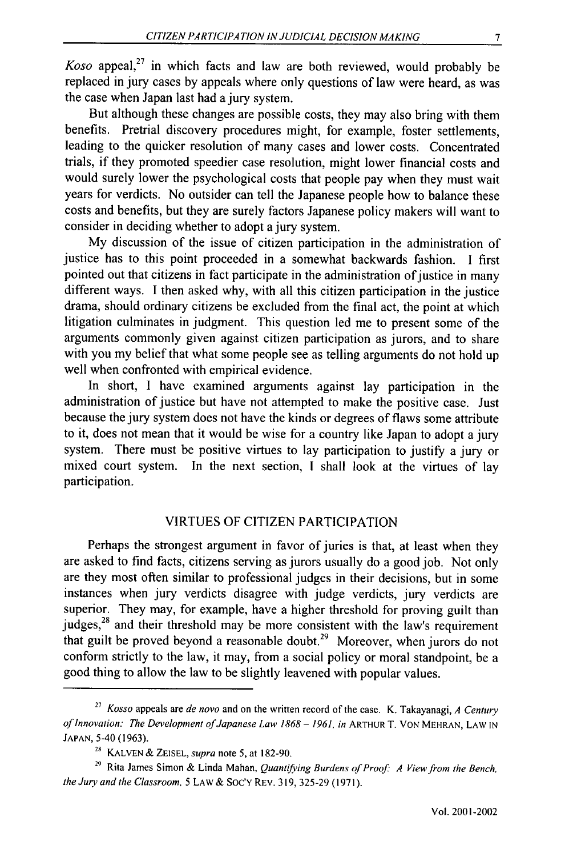*Koso* appeal,<sup>27</sup> in which facts and law are both reviewed, would probably be replaced in jury cases by appeals where only questions of law were heard, as was the case when Japan last had a jury system.

But although these changes are possible costs, they may also bring with them benefits. Pretrial discovery procedures might, for example, foster settlements, leading to the quicker resolution of many cases and lower costs. Concentrated trials, if they promoted speedier case resolution, might lower financial costs and would surely lower the psychological costs that people pay when they must wait years for verdicts. No outsider can tell the Japanese people how to balance these costs and benefits, but they are surely factors Japanese policy makers will want to consider in deciding whether to adopt a jury system.

My discussion of the issue of citizen participation in the administration of justice has to this point proceeded in a somewhat backwards fashion. I first pointed out that citizens in fact participate in the administration of justice in many different ways. I then asked why, with all this citizen participation in the justice drama, should ordinary citizens be excluded from the final act, the point at which litigation culminates in judgment. This question led me to present some of the arguments commonly given against citizen participation as jurors, and to share with you my belief that what some people see as telling arguments do not hold up well when confronted with empirical evidence.

In short, I have examined arguments against lay participation in the administration of justice but have not attempted to make the positive case. Just because the jury system does not have the kinds or degrees of flaws some attribute to it, does not mean that it would be wise for a country like Japan to adopt a jury system. There must be positive virtues to lay participation to justify a jury or mixed court system. In the next section, I shall look at the virtues of lay participation.

## VIRTUES OF CITIZEN PARTICIPATION

Perhaps the strongest argument in favor of juries is that, at least when they are asked to find facts, citizens serving as jurors usually do a good job. Not only are they most often similar to professional judges in their decisions, but in some instances when jury verdicts disagree with judge verdicts, jury verdicts are superior. They may, for example, have a higher threshold for proving guilt than judges, $28$  and their threshold may be more consistent with the law's requirement that guilt be proved beyond a reasonable doubt.<sup>29</sup> Moreover, when jurors do not conform strictly to the law, it may, from a social policy or moral standpoint, be a good thing to allow the law to be slightly leavened with popular values.

*<sup>27</sup> Kosso* appeals are *de novo* and on the written record of the case. K. Takayanagi, *A Century of Innovation: The Development of Japanese Law 1868 - 1961, in* ARTHUR T. VON MEHRAN, LAW IN JAPAN, 5-40 (1963).

<sup>28</sup> KALVEN & ZEISEL, *supra* note 5, at 182-90.

<sup>&</sup>lt;sup>29</sup> Rita James Simon & Linda Mahan, *Quantifying Burdens of Proof: A View from the Bench*, *the Jury and the Classroom, 5* LAW & Soc'Y REV. 319, 325-29 (1971).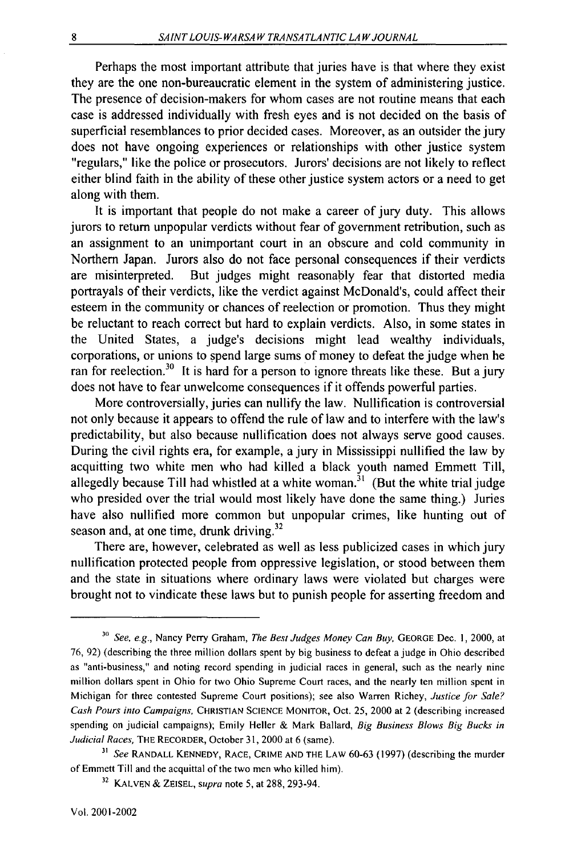Perhaps the most important attribute that juries have is that where they exist they are the one non-bureaucratic element in the system of administering justice. The presence of decision-makers for whom cases are not routine means that each case is addressed individually with fresh eyes and is not decided on the basis of superficial resemblances to prior decided cases. Moreover, as an outsider the jury does not have ongoing experiences or relationships with other justice system "regulars," like the police or prosecutors. Jurors' decisions are not likely to reflect either blind faith in the ability of these other justice system actors or a need to get along with them.

It is important that people do not make a career of jury duty. This allows jurors to return unpopular verdicts without fear of government retribution, such as an assignment to an unimportant court in an obscure and cold community in Northern Japan. Jurors also do not face personal consequences if their verdicts are misinterpreted. But judges might reasonably fear that distorted media portrayals of their verdicts, like the verdict against McDonald's, could affect their esteem in the community or chances of reelection or promotion. Thus they might be reluctant to reach correct but hard to explain verdicts. Also, in some states in the United States, a judge's decisions might lead wealthy individuals, corporations, or unions to spend large sums of money to defeat the judge when he ran for reelection.<sup>30</sup> It is hard for a person to ignore threats like these. But a jury does not have to fear unwelcome consequences if it offends powerful parties.

More controversially, juries can nullify the law. Nullification is controversial not only because it appears to offend the rule of law and to interfere with the law's predictability, but also because nullification does not always serve good causes. During the civil rights era, for example, a jury in Mississippi nullified the law by acquitting two white men who had killed a black youth named Emmett Till, allegedly because Till had whistled at a white woman.<sup>31</sup> (But the white trial judge who presided over the trial would most likely have done the same thing.) Juries have also nullified more common but unpopular crimes, like hunting out of season and, at one time, drunk driving. $32$ 

There are, however, celebrated as well as less publicized cases in which jury nullification protected people from oppressive legislation, or stood between them and the state in situations where ordinary laws were violated but charges were brought not to vindicate these laws but to punish people for asserting freedom and

**<sup>31</sup>** *See, e.g.,* Nancy Perry Graham, *The Best Judges Money Can Buy,* **GEORGE** Dec. I, 2000, at 76, 92) (describing the three million dollars spent by big business to defeat a judge in Ohio described as "anti-business," and noting record spending in judicial races in general, such as the nearly nine million dollars spent in Ohio for two Ohio Supreme Court races, and the nearly ten million spent in Michigan for three contested Supreme Court positions); see also Warren Richey, *Justice for Sale? Cash Pours* into Campaigns. **CHRISTIAN SCIENCE** MONITOR, Oct. 25, 2000 at 2 (describing increased spending on judicial campaigns); Emily Heller & Mark Ballard, Big Business Blows Big Bucks in Judicial Races, THE RECORDER, October 31, 2000 at 6 (same).

**<sup>31</sup>**See **RANDALL KENNEDY,** RACE, CRIME **AND** THE LAW 60-63 (1997) (describing the murder of Emmett Till and the acquittal of the two men who killed him).

**<sup>32</sup> KALVEN** & ZEISEL, supra note 5, at 288, 293-94.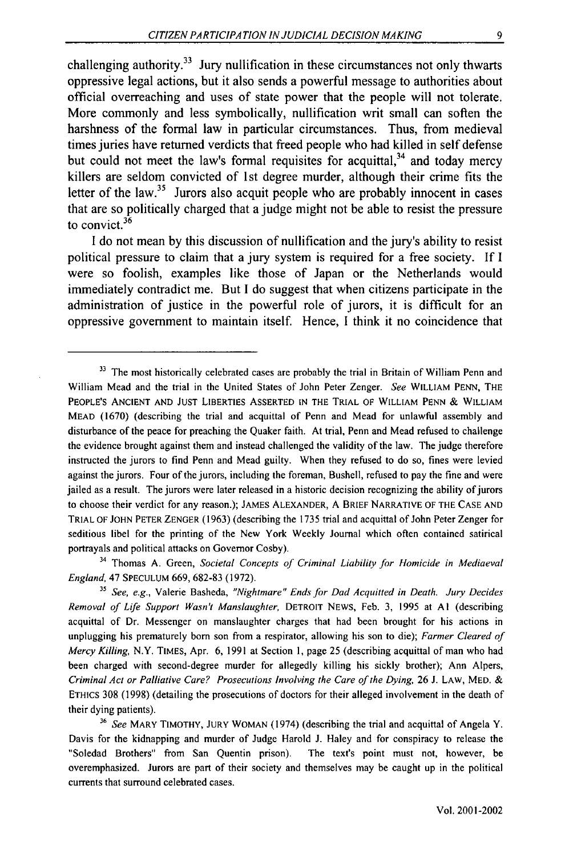challenging authority.<sup>33</sup> Jury nullification in these circumstances not only thwarts oppressive legal actions, but it also sends a powerful message to authorities about official overreaching and uses of state power that the people will not tolerate. More commonly and less symbolically, nullification writ small can soften the harshness of the formal law in particular circumstances. Thus, from medieval times juries have returned verdicts that freed people who had killed in self defense but could not meet the law's formal requisites for acquittal, $34$  and today mercy killers are seldom convicted of 1st degree murder, although their crime fits the letter of the law.<sup>35</sup> Jurors also acquit people who are probably innocent in cases that are so politically charged that a judge might not be able to resist the pressure to convict. $36$ 

I do not mean by this discussion of nullification and the jury's ability to resist political pressure to claim that a jury system is required for a free society. If I were so foolish, examples like those of Japan or the Netherlands would immediately contradict me. But I do suggest that when citizens participate in the administration of justice in the powerful role of jurors, it is difficult for an oppressive government to maintain itself. Hence, I think it no coincidence that

34 Thomas A. Green, *Societal Concepts of Criminal Liability for Homicide in Mediaeval* England, 47 SPECULUM 669, 682-83 (1972).

**<sup>33</sup>** The most historically celebrated cases are probably the trial in Britain of William Penn and William Mead and the trial in the United States of John Peter Zenger. *See* WILLIAM PENN, THE PEOPLE'S ANCIENT AND JUST LIBERTIES ASSERTED IN THE TRIAL OF WILLIAM PENN *&* WILLIAM MEAD (1670) (describing the trial and acquittal of Penn and Mead for unlawful assembly and disturbance of the peace for preaching the Quaker faith. At trial, Penn and Mead refused to challenge the evidence brought against them and instead challenged the validity of the law. The judge therefore instructed the jurors to find Penn and Mead guilty. When they refused to do so, fines were levied against the jurors. Four of the jurors, including the foreman, Bushell, refused to pay the fine and were jailed as a result. The jurors were later released in a historic decision recognizing the ability of jurors to choose their verdict for any reason.); JAMES ALEXANDER, A BRIEF NARRATIVE OF THE CASE AND TRIAL OF JOHN PETER ZENGER (1963) (describing the 1735 trial and acquittal of John Peter Zenger for seditious libel for the printing of the New York Weekly Journal which often contained satirical portrayals and political attacks on Governor Cosby).

<sup>&</sup>lt;sup>35</sup> See, e.g., Valerie Basheda, "Nightmare" Ends for Dad Acquitted in Death. Jury Decides Removal of Life Support Wasn't Manslaughter, DETROIT NEWS, Feb. 3, 1995 at **AI** (describing acquittal of Dr. Messenger on manslaughter charges that had been brought for his actions in unplugging his prematurely born son from a respirator, allowing his son to die); Farmer Cleared of Mercy Killing, N.Y. TIMES, Apr. 6, 1991 at Section 1, page 25 (describing acquittal of man who had been charged with second-degree murder for allegedly killing his sickly brother); Ann Alpers, Criminal Act or Palliative Care? Prosecutions Involving the Care of the Dying, 26 J. LAW, MED. & ETHICS 308 (1998) (detailing the prosecutions of doctors for their alleged involvement in the death of their dying patients).

**<sup>36</sup>** See MARY TIMOTHY, JURY WOMAN (1974) (describing the trial and acquittal of Angela Y. Davis for the kidnapping and murder of Judge Harold J. Haley and for conspiracy to release the "Soledad Brothers" from San Quentin prison). The text's point must not, however, be overemphasized. Jurors are part of their society and themselves may be caught up in the political currents that surround celebrated cases.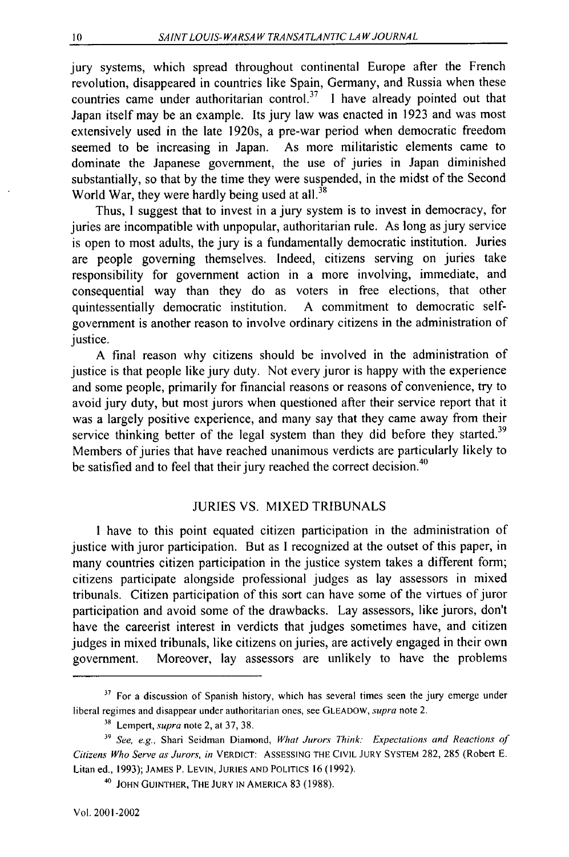jury systems, which spread throughout continental Europe after the French revolution, disappeared in countries like Spain, Germany, and Russia when these countries came under authoritarian control.<sup>37</sup> I have already pointed out that Japan itself may be an example. Its jury law was enacted in 1923 and was most extensively used in the late 1920s, a pre-war period when democratic freedom seemed to be increasing in Japan. As more militaristic elements came to dominate the Japanese government, the use of juries in Japan diminished substantially, so that by the time they were suspended, in the midst of the Second World War, they were hardly being used at all. $38$ 

Thus, **I** suggest that to invest in a jury system is to invest in democracy, for juries are incompatible with unpopular, authoritarian rule. As long as jury service is open to most adults, the jury is a fundamentally democratic institution. Juries are people governing themselves. Indeed, citizens serving on juries take responsibility for government action in a more involving, immediate, and consequential way than they do as voters in free elections, that other quintessentially democratic institution. A commitment to democratic selfgovernment is another reason to involve ordinary citizens in the administration of justice.

A final reason why citizens should be involved in the administration of justice is that people like jury duty. Not every juror is happy with the experience and some people, primarily for financial reasons or reasons of convenience, try to avoid jury duty, but most jurors when questioned after their service report that it was a largely positive experience, and many say that they came away from their service thinking better of the legal system than they did before they started.<sup>39</sup> Members of juries that have reached unanimous verdicts are particularly likely to be satisfied and to feel that their jury reached the correct decision.<sup>40</sup>

#### JURIES VS. MIXED TRIBUNALS

**I** have to this point equated citizen participation in the administration of justice with juror participation. But as I recognized at the outset of this paper, in many countries citizen participation in the justice system takes a different form; citizens participate alongside professional judges as lay assessors in mixed tribunals. Citizen participation of this sort can have some of the virtues of juror participation and avoid some of the drawbacks. Lay assessors, like jurors, don't have the careerist interest in verdicts that judges sometimes have, and citizen judges in mixed tribunals, like citizens on juries, are actively engaged in their own government. Moreover, lay assessors are unlikely to have the problems

<sup>&</sup>lt;sup>37</sup> For a discussion of Spanish history, which has several times seen the jury emerge under liberal regimes and disappear under authoritarian ones, see GLEADOW, supra note 2.

**<sup>38</sup>** Lempert, supra note 2, at 37, 38.

*<sup>31</sup> See,* e.g., Shari Seidman Diamond, *What Jurors Think: Expectations and Reactions of Citizens Who Serve as Jurors, in* VERDICT: ASSESSING THE CIVIL JURY SYSTEM 282, 285 (Robert E. Litan ed., 1993); JAMES P. LEVIN, JURIES AND POLITICS 16 (1992).

**<sup>40</sup>** JOHN GUINTHER, THE JURY IN AMERICA 83 (1988).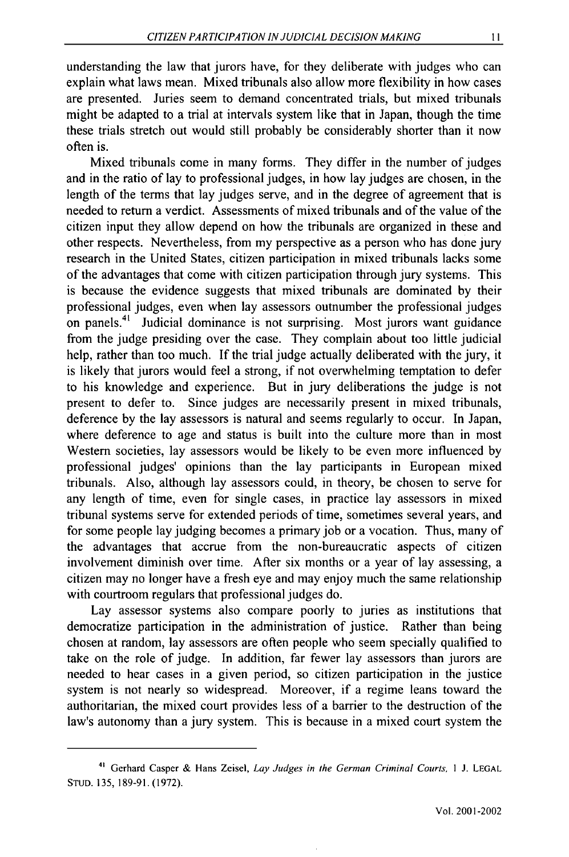$11$ 

understanding the law that jurors have, for they deliberate with judges who can explain what laws mean. Mixed tribunals also allow more flexibility in how cases are presented. Juries seem to demand concentrated trials, but mixed tribunals might be adapted to a trial at intervals system like that in Japan, though the time these trials stretch out would still probably be considerably shorter than it now often is.

Mixed tribunals come in many forms. They differ in the number of judges and in the ratio of lay to professional judges, in how lay judges are chosen, in the length of the terms that lay judges serve, and in the degree of agreement that is needed to return a verdict. Assessments of mixed tribunals and of the value of the citizen input they allow depend on how the tribunals are organized in these and other respects. Nevertheless, from my perspective as a person who has done jury research in the United States, citizen participation in mixed tribunals lacks some of the advantages that come with citizen participation through jury systems. This is because the evidence suggests that mixed tribunals are dominated by their professional judges, even when lay assessors outnumber the professional judges on panels.<sup>41</sup> Judicial dominance is not surprising. Most jurors want guidance from the judge presiding over the case. They complain about too little judicial help, rather than too much. If the trial judge actually deliberated with the jury, it is likely that jurors would feel a strong, if not overwhelming temptation to defer to his knowledge and experience. But in jury deliberations the judge is not present to defer to. Since judges are necessarily present in mixed tribunals, deference by the lay assessors is natural and seems regularly to occur. In Japan, where deference to age and status is built into the culture more than in most Western societies, lay assessors would be likely to be even more influenced by professional judges' opinions than the lay participants in European mixed tribunals. Also, although lay assessors could, in theory, be chosen to serve for any length of time, even for single cases, in practice lay assessors in mixed tribunal systems serve for extended periods of time, sometimes several years, and for some people lay judging becomes a primary job or a vocation. Thus, many of the advantages that accrue from the non-bureaucratic aspects of citizen involvement diminish over time. After six months or a year of lay assessing, a citizen may no longer have a fresh eye and may enjoy much the same relationship with courtroom regulars that professional judges do.

Lay assessor systems also compare poorly to juries as institutions that democratize participation in the administration of justice. Rather than being chosen at random, lay assessors are often people who seem specially qualified to take on the role of judge. In addition, far fewer lay assessors than jurors are needed to hear cases in a given period, so citizen participation in the justice system is not nearly so widespread. Moreover, if a regime leans toward the authoritarian, the mixed court provides less of a barrier to the destruction of the law's autonomy than a jury system. This is because in a mixed court system the

**<sup>4&#</sup>x27;** Gerhard Casper & Hans Zeisel, *Lay Judges* in the German Criminal Courts, **I** J. LEGAL STUD. 135, 189-91. (1972).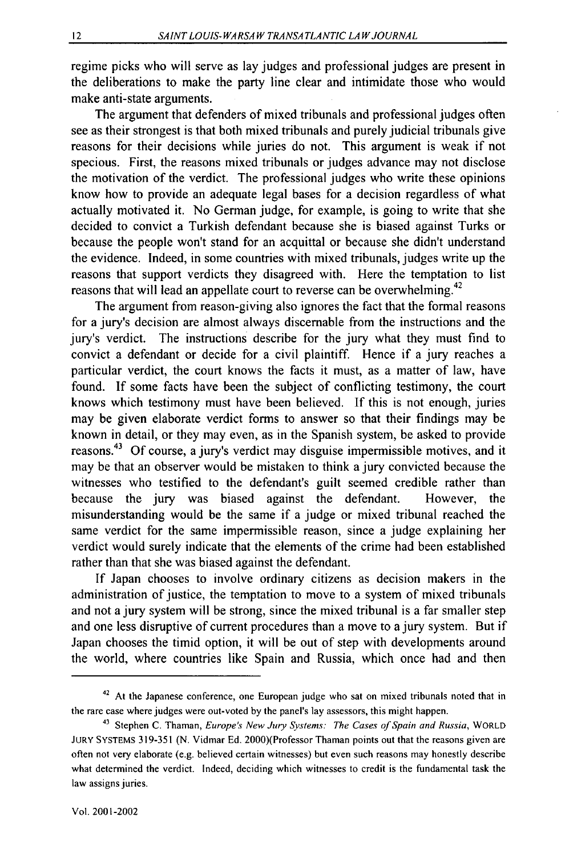regime picks who will serve as lay judges and professional judges are present in the deliberations to make the party line clear and intimidate those who would make anti-state arguments.

The argument that defenders of mixed tribunals and professional judges often see as their strongest is that both mixed tribunals and purely judicial tribunals give reasons for their decisions while juries do not. This argument is weak if not specious. First, the reasons mixed tribunals or judges advance may not disclose the motivation of the verdict. The professional judges who write these opinions know how to provide an adequate legal bases for a decision regardless of what actually motivated it. No German judge, for example, is going to write that she decided to convict a Turkish defendant because she is biased against Turks or because the people won't stand for an acquittal or because she didn't understand the evidence. Indeed, in some countries with mixed tribunals, judges write up the reasons that support verdicts they disagreed with. Here the temptation to list reasons that will lead an appellate court to reverse can be overwhelming.<sup>42</sup>

The argument from reason-giving also ignores the fact that the formal reasons for a jury's decision are almost always discemable from the instructions and the jury's verdict. The instructions describe for the jury what they must find to convict a defendant or decide for a civil plaintiff. Hence if a jury reaches a particular verdict, the court knows the facts it must, as a matter of law, have found. If some facts have been the subject of conflicting testimony, the court knows which testimony must have been believed. If this is not enough, juries may be given elaborate verdict forms to answer so that their findings may be known in detail, or they may even, as in the Spanish system, be asked to provide reasons.43 Of course, a jury's verdict may disguise impermissible motives, and it may be that an observer would be mistaken to think a jury convicted because the witnesses who testified to the defendant's guilt seemed credible rather than because the jury was biased against the defendant. However, the misunderstanding would be the same if a judge or mixed tribunal reached the same verdict for the same impermissible reason, since a judge explaining her verdict would surely indicate that the elements of the crime had been established rather than that she was biased against the defendant.

If Japan chooses to involve ordinary citizens as decision makers in the administration of justice, the temptation to move to a system of mixed tribunals and not a jury system will be strong, since the mixed tribunal is a far smaller step and one less disruptive of current procedures than a move to a jury system. But if Japan chooses the timid option, it will be out of step with developments around the world, where countries like Spain and Russia, which once had and then

**<sup>42</sup>** At the Japanese conference, one European judge who sat on mixed tribunals noted that in the rare case where judges were out-voted by the panel's lay assessors, this might happen.

**<sup>43</sup>** Stephen C. Thaman, Europe's New Jury Systems: The Cases of Spain and Russia, WORLD **JURY** SYSTEMS 319-351 (N. Vidmar Ed. 2000)(Professor Thaman points out that the reasons given are often not very elaborate (e.g. believed certain witnesses) but even such reasons may honestly describe what determined the verdict. Indeed, deciding which witnesses to credit is the fundamental task the law assigns juries.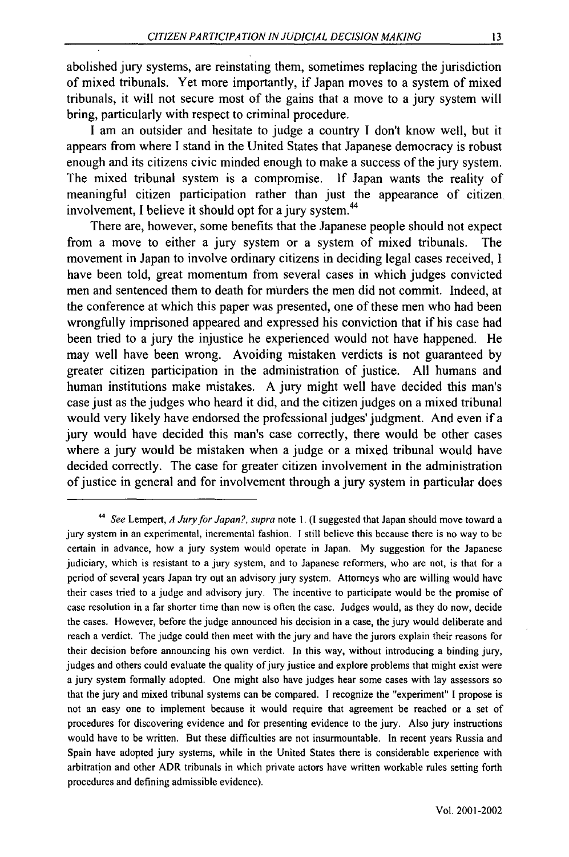abolished jury systems, are reinstating them, sometimes replacing the jurisdiction of mixed tribunals. Yet more importantly, if Japan moves to a system of mixed tribunals, it will not secure most of the gains that a move to a jury system will bring, particularly with respect to criminal procedure.

I am an outsider and hesitate to judge a country I don't know well, but it appears from where I stand in the United States that Japanese democracy is robust enough and its citizens civic minded enough to make a success of the jury system. The mixed tribunal system is a compromise. If Japan wants the reality of meaningful citizen participation rather than just the appearance of citizen involvement, I believe it should opt for a jury system.<sup>44</sup>

There are, however, some benefits that the Japanese people should not expect from a move to either a jury system or a system of mixed tribunals. The movement in Japan to involve ordinary citizens in deciding legal cases received, I have been told, great momentum from several cases in which judges convicted men and sentenced them to death for murders the men did not commit. Indeed, at the conference at which this paper was presented, one of these men who had been wrongfully imprisoned appeared and expressed his conviction that if his case had been tried to a jury the injustice he experienced would not have happened. He may well have been wrong. Avoiding mistaken verdicts is not guaranteed by greater citizen participation in the administration of justice. All humans and human institutions make mistakes. A jury might well have decided this man's case just as the judges who heard it did, and the citizen judges on a mixed tribunal would very likely have endorsed the professional judges'judgment. And even if a jury would have decided this man's case correctly, there would be other cases where a jury would be mistaken when a judge or a mixed tribunal would have decided correctly. The case for greater citizen involvement in the administration of justice in general and for involvement through a jury system in particular does

**<sup>,</sup>** *See* Lempert, *A Jury for Japan?, supra* note **1.** (I suggested that Japan should move toward a jury system in an experimental, incremental fashion. **I** still believe this because there is no way to be certain in advance, how a jury system would operate in Japan. My suggestion for the Japanese judiciary, which is resistant to a jury system, and to Japanese reformers, who are not, is that for a period of several years Japan try out an advisory jury system. Attorneys who are willing would have their cases tried to a judge and advisory jury. The incentive to participate would be the promise of case resolution in a far shorter time than now is often the case. Judges would, as they do now, decide the cases. However, before the judge announced his decision in a case, the jury would deliberate and reach a verdict. The judge could then meet with the jury and have the jurors explain their reasons for their decision before announcing his own verdict. In this way, without introducing a binding jury, judges and others could evaluate the quality of jury justice and explore problems that might exist were a jury system formally adopted. One might also have judges hear some cases with lay assessors so that the jury and mixed tribunal systems can be compared. I recognize the "experiment" I propose is not an easy one to implement because it would require that agreement be reached or a set of procedures for discovering evidence and for presenting evidence to the jury. Also jury instructions would have to be written. But these difficulties are not insurmountable. In recent years Russia and Spain have adopted jury systems, while in the United States there is considerable experience with arbitration and other ADR tribunals in which private actors have written workable rules setting forth procedures and defining admissible evidence).